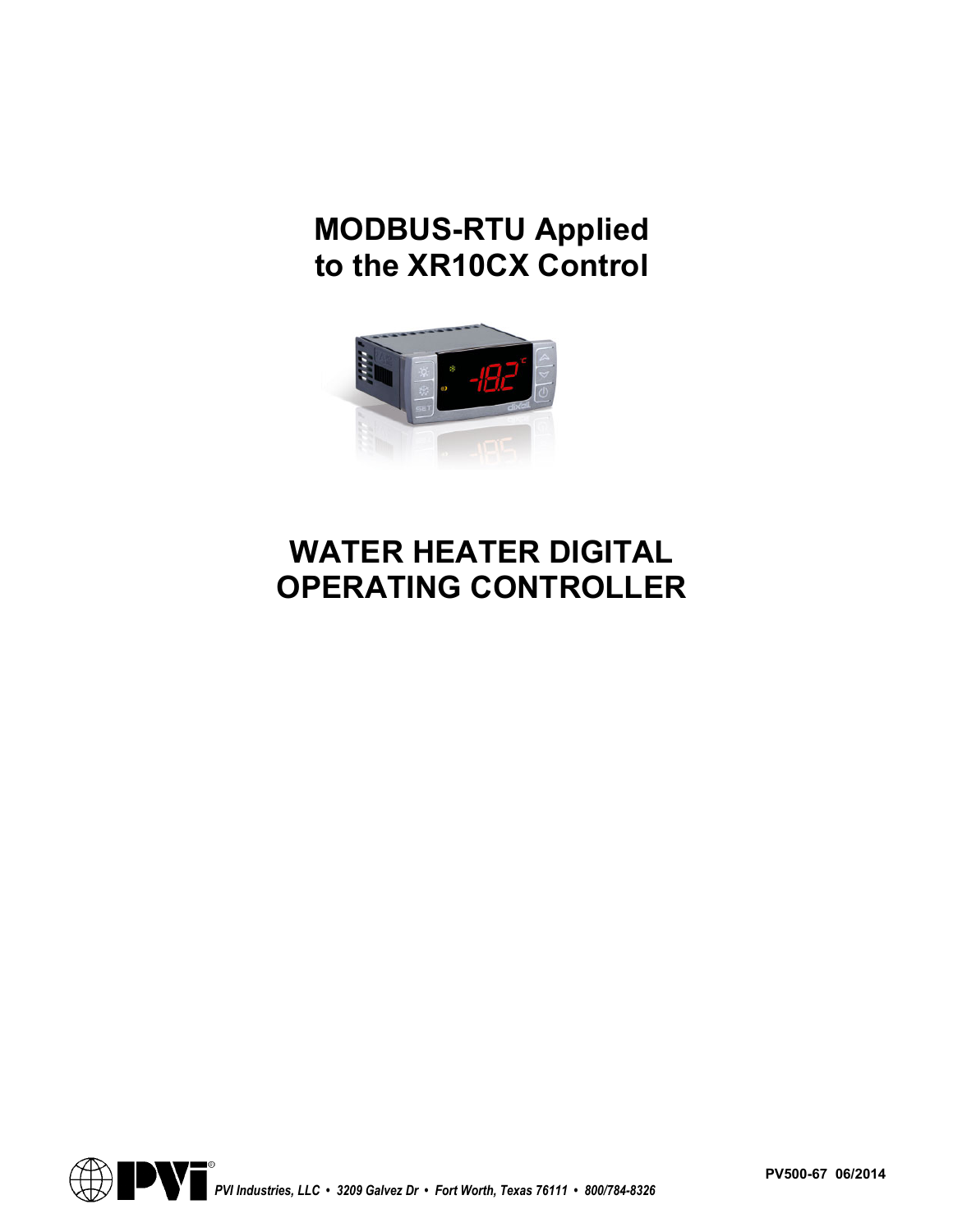# **MODBUS-RTU Applied to the XR10CX Control**



# **WATER HEATER DIGITAL OPERATING CONTROLLER**



**PV500-67 06/2014**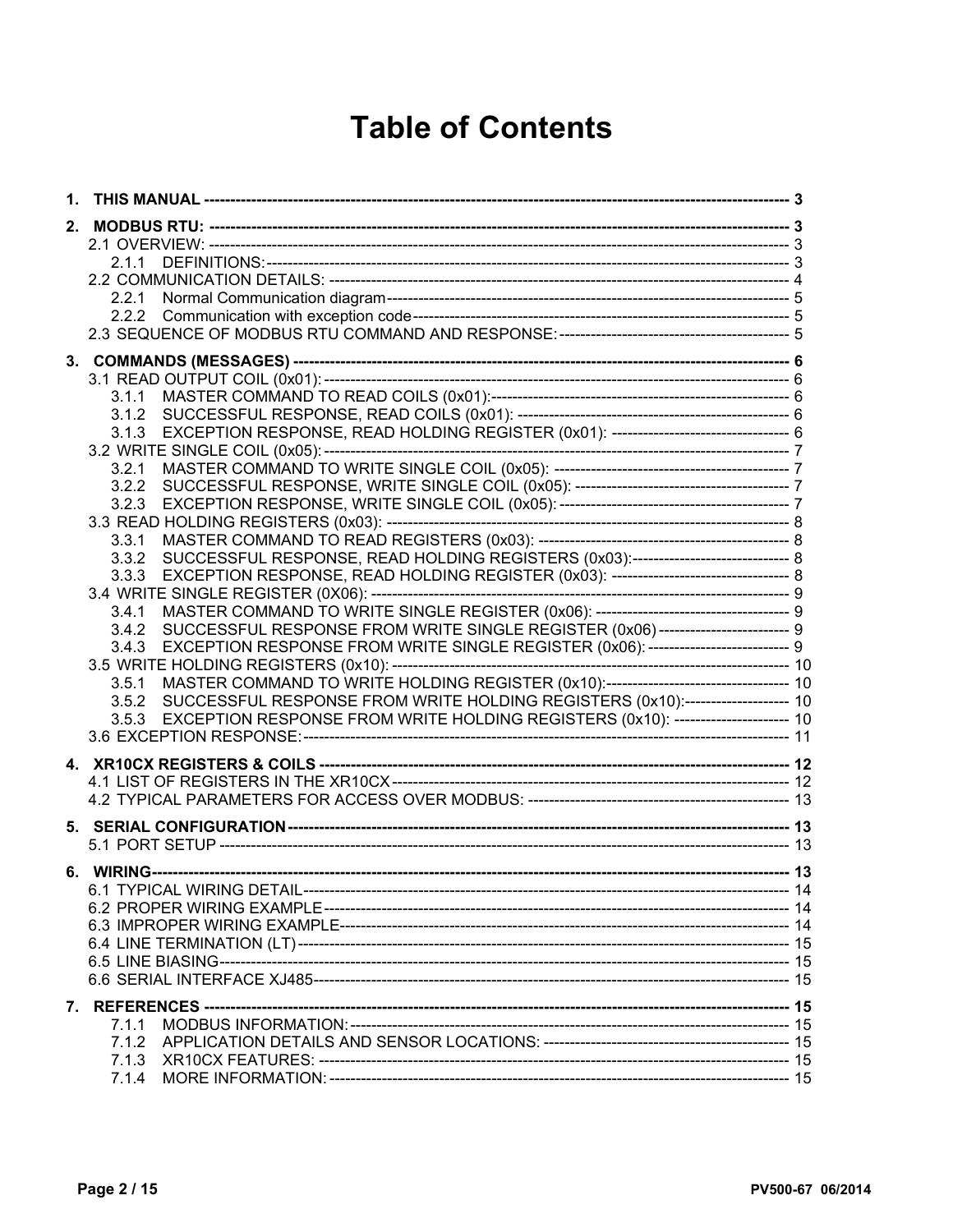# **Table of Contents**

| 1. |                                                                                                                                                                                                                                                                                                                                                                                                                                                                                                                                                                                                                                                                       |  |
|----|-----------------------------------------------------------------------------------------------------------------------------------------------------------------------------------------------------------------------------------------------------------------------------------------------------------------------------------------------------------------------------------------------------------------------------------------------------------------------------------------------------------------------------------------------------------------------------------------------------------------------------------------------------------------------|--|
| 2. | 2.1.1<br>2.2.1<br>2.2.2                                                                                                                                                                                                                                                                                                                                                                                                                                                                                                                                                                                                                                               |  |
|    | 3.1.1<br>3.1.2<br>3.1.3<br>3.2.1<br>3.2.2<br>3.2.3<br>3.3.1<br>SUCCESSFUL RESPONSE, READ HOLDING REGISTERS (0x03):------------------------------ 8<br>3.3.2<br>3.3.3<br>3.4.1<br>SUCCESSFUL RESPONSE FROM WRITE SINGLE REGISTER (0x06)------------------------- 9<br>3.4.2<br>EXCEPTION RESPONSE FROM WRITE SINGLE REGISTER (0x06): --------------------------- 9<br>3.4.3<br>MASTER COMMAND TO WRITE HOLDING REGISTER (0x10):--------------------------------- 10<br>3.5.1<br>SUCCESSFUL RESPONSE FROM WRITE HOLDING REGISTERS (0x10):-------------------- 10<br>3.5.2<br>EXCEPTION RESPONSE FROM WRITE HOLDING REGISTERS (0x10): ---------------------- 10<br>3.5.3 |  |
|    |                                                                                                                                                                                                                                                                                                                                                                                                                                                                                                                                                                                                                                                                       |  |
|    |                                                                                                                                                                                                                                                                                                                                                                                                                                                                                                                                                                                                                                                                       |  |
|    |                                                                                                                                                                                                                                                                                                                                                                                                                                                                                                                                                                                                                                                                       |  |
|    | 7.1.1                                                                                                                                                                                                                                                                                                                                                                                                                                                                                                                                                                                                                                                                 |  |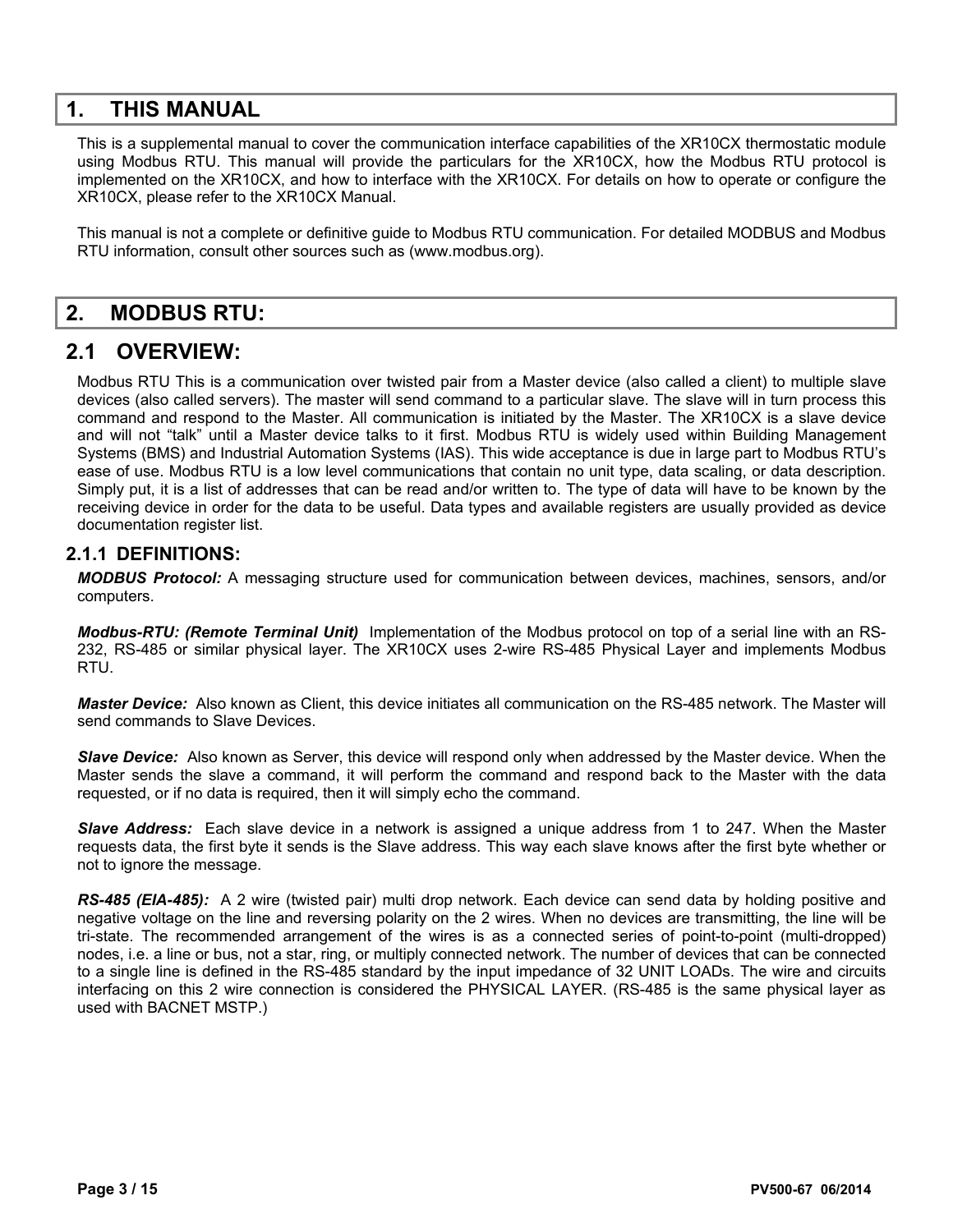## **1. THIS MANUAL**

This is a supplemental manual to cover the communication interface capabilities of the XR10CX thermostatic module using Modbus RTU. This manual will provide the particulars for the XR10CX, how the Modbus RTU protocol is implemented on the XR10CX, and how to interface with the XR10CX. For details on how to operate or configure the XR10CX, please refer to the XR10CX Manual.

This manual is not a complete or definitive guide to Modbus RTU communication. For detailed MODBUS and Modbus RTU information, consult other sources such as (www.modbus.org).

## **2. MODBUS RTU:**

## **2.1 OVERVIEW:**

Modbus RTU This is a communication over twisted pair from a Master device (also called a client) to multiple slave devices (also called servers). The master will send command to a particular slave. The slave will in turn process this command and respond to the Master. All communication is initiated by the Master. The XR10CX is a slave device and will not "talk" until a Master device talks to it first. Modbus RTU is widely used within Building Management Systems (BMS) and Industrial Automation Systems (IAS). This wide acceptance is due in large part to Modbus RTU's ease of use. Modbus RTU is a low level communications that contain no unit type, data scaling, or data description. Simply put, it is a list of addresses that can be read and/or written to. The type of data will have to be known by the receiving device in order for the data to be useful. Data types and available registers are usually provided as device documentation register list.

#### **2.1.1 DEFINITIONS:**

*MODBUS Protocol:* A messaging structure used for communication between devices, machines, sensors, and/or computers.

*Modbus-RTU: (Remote Terminal Unit)* Implementation of the Modbus protocol on top of a serial line with an RS-232, RS-485 or similar physical layer. The XR10CX uses 2-wire RS-485 Physical Layer and implements Modbus RTU.

*Master Device:* Also known as Client, this device initiates all communication on the RS-485 network. The Master will send commands to Slave Devices.

*Slave Device:* Also known as Server, this device will respond only when addressed by the Master device. When the Master sends the slave a command, it will perform the command and respond back to the Master with the data requested, or if no data is required, then it will simply echo the command.

*Slave Address:* Each slave device in a network is assigned a unique address from 1 to 247. When the Master requests data, the first byte it sends is the Slave address. This way each slave knows after the first byte whether or not to ignore the message.

*RS-485 (EIA-485):* A 2 wire (twisted pair) multi drop network. Each device can send data by holding positive and negative voltage on the line and reversing polarity on the 2 wires. When no devices are transmitting, the line will be tri-state. The recommended arrangement of the wires is as a connected series of point-to-point (multi-dropped) nodes, i.e. a line or bus, not a star, ring, or multiply connected network. The number of devices that can be connected to a single line is defined in the RS-485 standard by the input impedance of 32 UNIT LOADs. The wire and circuits interfacing on this 2 wire connection is considered the PHYSICAL LAYER. (RS-485 is the same physical layer as used with BACNET MSTP.)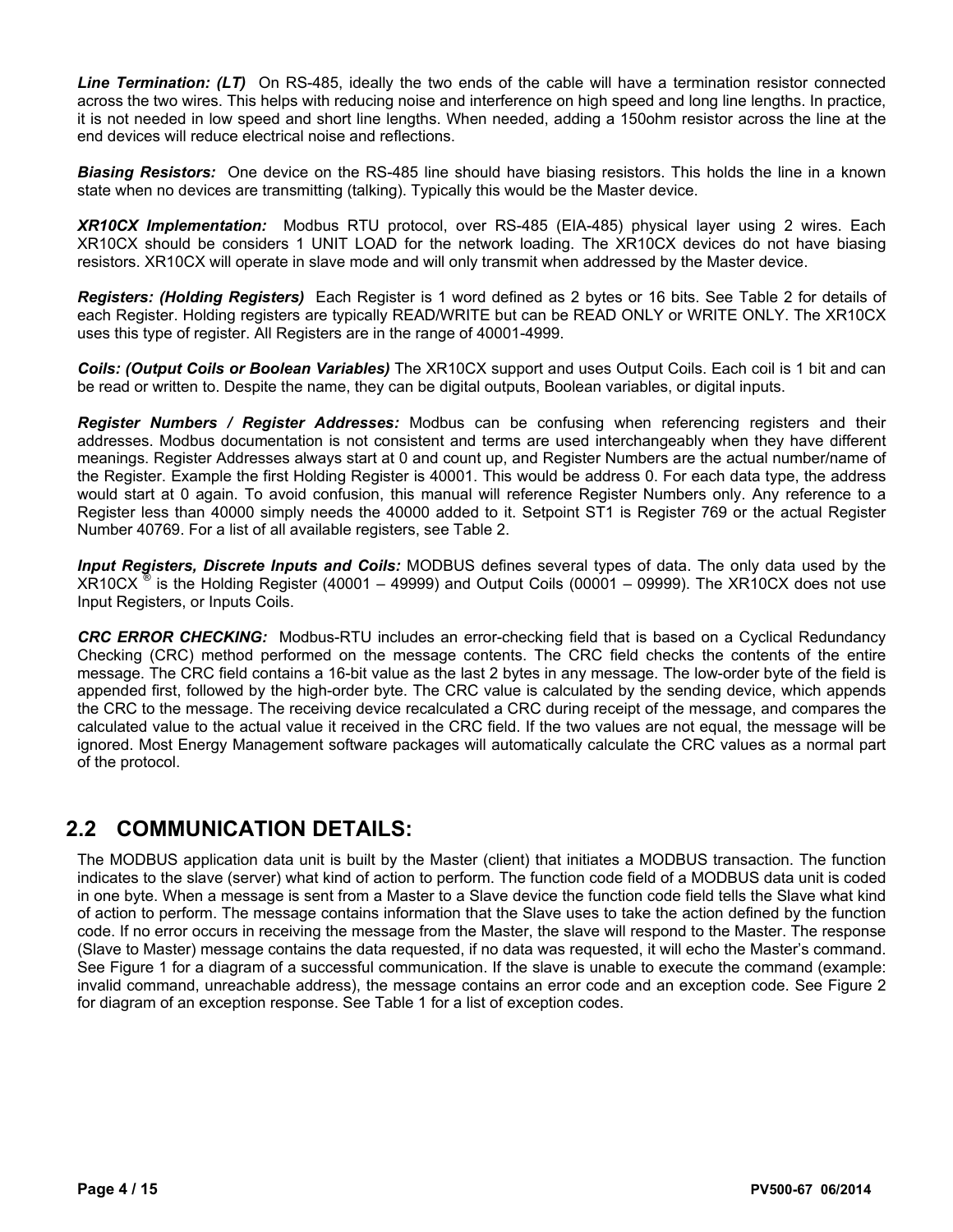*Line Termination: (LT)* On RS-485, ideally the two ends of the cable will have a termination resistor connected across the two wires. This helps with reducing noise and interference on high speed and long line lengths. In practice, it is not needed in low speed and short line lengths. When needed, adding a 150ohm resistor across the line at the end devices will reduce electrical noise and reflections.

*Biasing Resistors:* One device on the RS-485 line should have biasing resistors. This holds the line in a known state when no devices are transmitting (talking). Typically this would be the Master device.

*XR10CX Implementation:* Modbus RTU protocol, over RS-485 (EIA-485) physical layer using 2 wires. Each XR10CX should be considers 1 UNIT LOAD for the network loading. The XR10CX devices do not have biasing resistors. XR10CX will operate in slave mode and will only transmit when addressed by the Master device.

*Registers: (Holding Registers)* Each Register is 1 word defined as 2 bytes or 16 bits. See Table 2 for details of each Register. Holding registers are typically READ/WRITE but can be READ ONLY or WRITE ONLY. The XR10CX uses this type of register. All Registers are in the range of 40001-4999.

*Coils: (Output Coils or Boolean Variables)* The XR10CX support and uses Output Coils. Each coil is 1 bit and can be read or written to. Despite the name, they can be digital outputs, Boolean variables, or digital inputs.

*Register Numbers / Register Addresses:* Modbus can be confusing when referencing registers and their addresses. Modbus documentation is not consistent and terms are used interchangeably when they have different meanings. Register Addresses always start at 0 and count up, and Register Numbers are the actual number/name of the Register. Example the first Holding Register is 40001. This would be address 0. For each data type, the address would start at 0 again. To avoid confusion, this manual will reference Register Numbers only. Any reference to a Register less than 40000 simply needs the 40000 added to it. Setpoint ST1 is Register 769 or the actual Register Number 40769. For a list of all available registers, see Table 2.

*Input Registers, Discrete Inputs and Coils:* MODBUS defines several types of data. The only data used by the  $XR10CX$ <sup>®</sup> is the Holding Register (40001 – 49999) and Output Coils (00001 – 09999). The XR10CX does not use Input Registers, or Inputs Coils.

*CRC ERROR CHECKING:* Modbus-RTU includes an error-checking field that is based on a Cyclical Redundancy Checking (CRC) method performed on the message contents. The CRC field checks the contents of the entire message. The CRC field contains a 16-bit value as the last 2 bytes in any message. The low-order byte of the field is appended first, followed by the high-order byte. The CRC value is calculated by the sending device, which appends the CRC to the message. The receiving device recalculated a CRC during receipt of the message, and compares the calculated value to the actual value it received in the CRC field. If the two values are not equal, the message will be ignored. Most Energy Management software packages will automatically calculate the CRC values as a normal part of the protocol.

## **2.2 COMMUNICATION DETAILS:**

The MODBUS application data unit is built by the Master (client) that initiates a MODBUS transaction. The function indicates to the slave (server) what kind of action to perform. The function code field of a MODBUS data unit is coded in one byte. When a message is sent from a Master to a Slave device the function code field tells the Slave what kind of action to perform. The message contains information that the Slave uses to take the action defined by the function code. If no error occurs in receiving the message from the Master, the slave will respond to the Master. The response (Slave to Master) message contains the data requested, if no data was requested, it will echo the Master's command. See Figure 1 for a diagram of a successful communication. If the slave is unable to execute the command (example: invalid command, unreachable address), the message contains an error code and an exception code. See Figure 2 for diagram of an exception response. See Table 1 for a list of exception codes.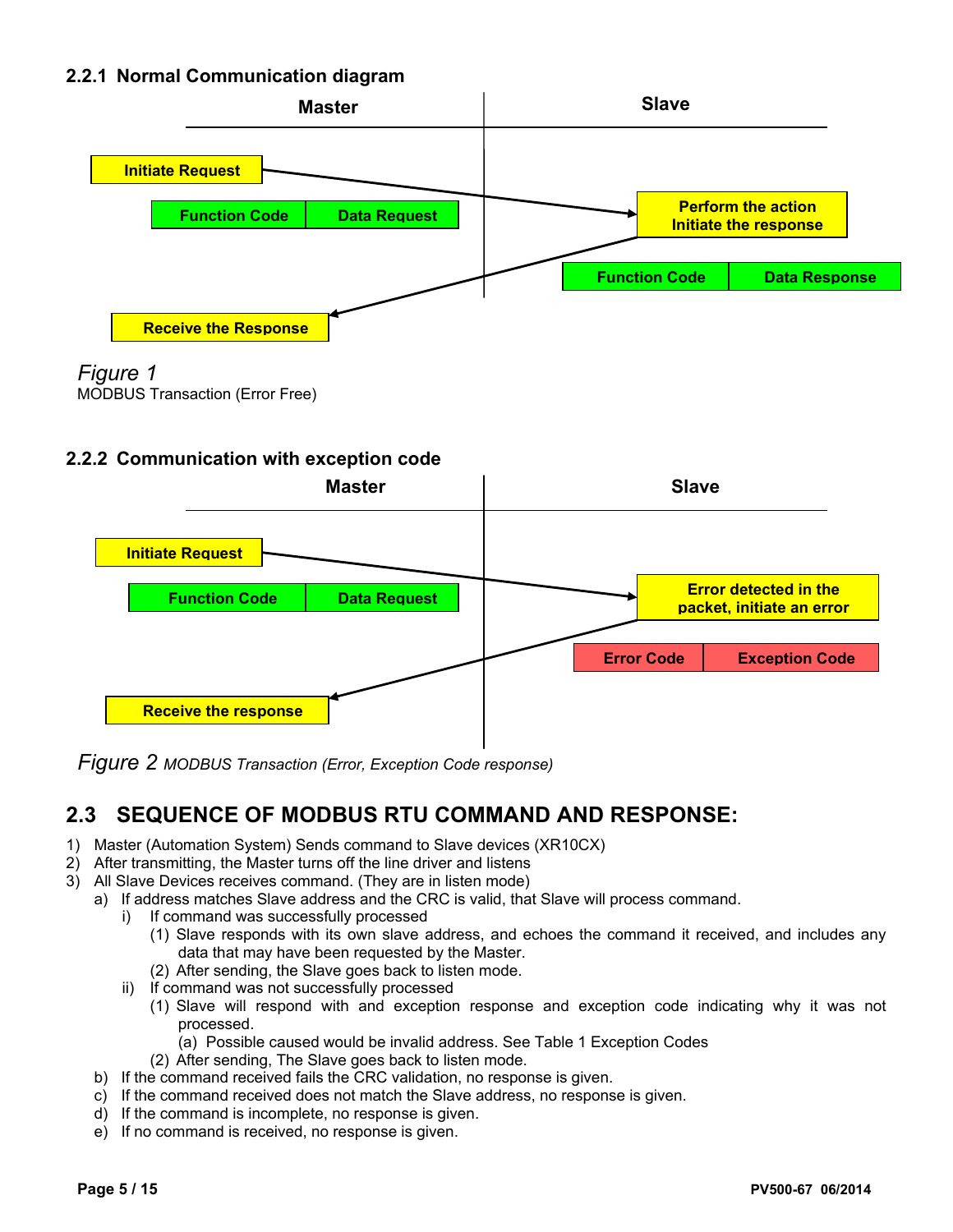#### **2.2.1 Normal Communication diagram**





MODBUS Transaction (Error Free)

#### **2.2.2 Communication with exception code**



*Figure 2 MODBUS Transaction (Error, Exception Code response)*

## **2.3 SEQUENCE OF MODBUS RTU COMMAND AND RESPONSE:**

- 1) Master (Automation System) Sends command to Slave devices (XR10CX)
- 2) After transmitting, the Master turns off the line driver and listens
- 3) All Slave Devices receives command. (They are in listen mode)
	- a) If address matches Slave address and the CRC is valid, that Slave will process command.
		- i) If command was successfully processed
			- (1) Slave responds with its own slave address, and echoes the command it received, and includes any data that may have been requested by the Master.
			- (2) After sending, the Slave goes back to listen mode.
		- ii) If command was not successfully processed
			- (1) Slave will respond with and exception response and exception code indicating why it was not processed.
				- (a) Possible caused would be invalid address. See Table 1 Exception Codes
			- (2) After sending, The Slave goes back to listen mode.
	- b) If the command received fails the CRC validation, no response is given.
	- c) If the command received does not match the Slave address, no response is given.
	- d) If the command is incomplete, no response is given.
	- e) If no command is received, no response is given.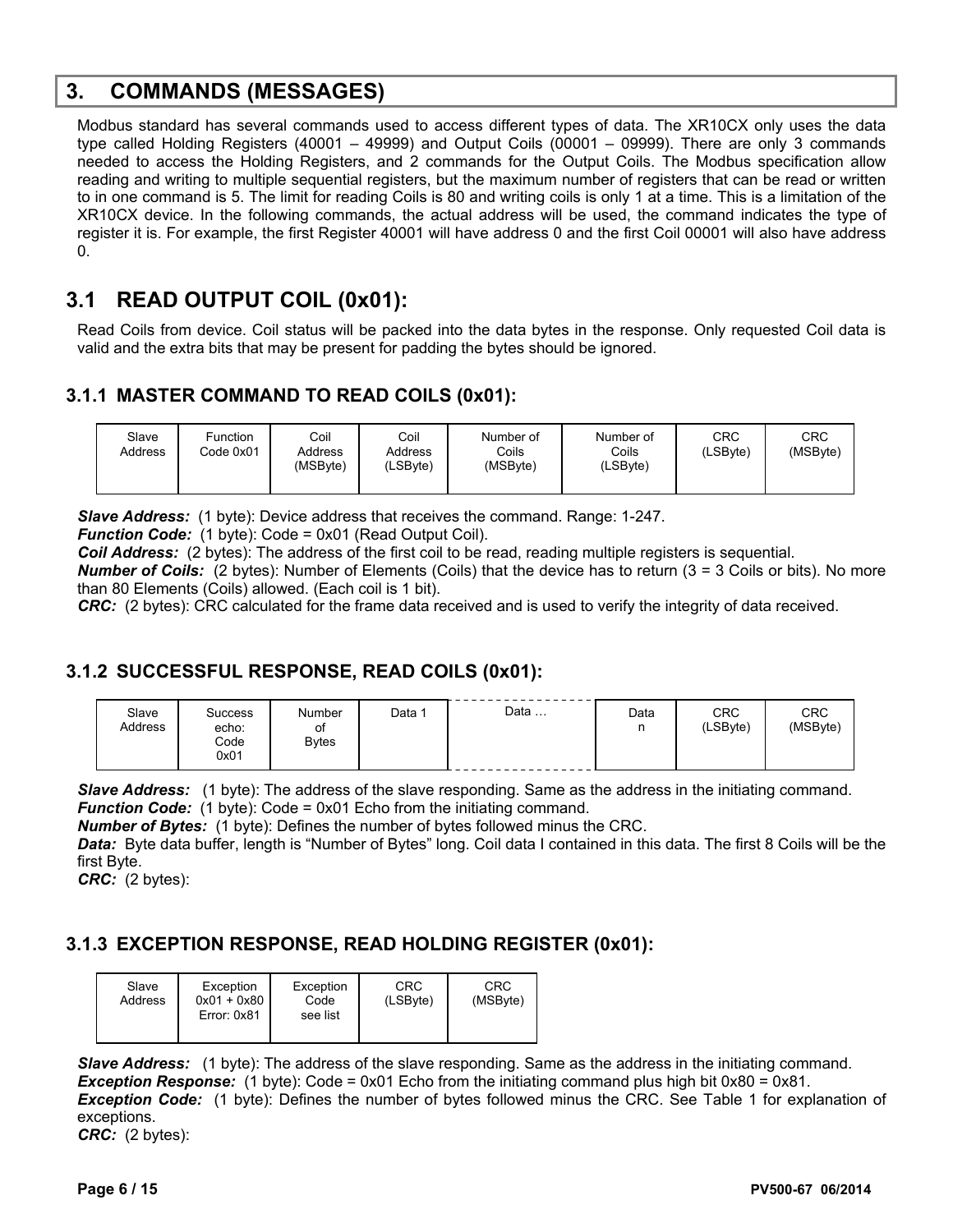## **3. COMMANDS (MESSAGES)**

Modbus standard has several commands used to access different types of data. The XR10CX only uses the data type called Holding Registers (40001 – 49999) and Output Coils (00001 – 09999). There are only 3 commands needed to access the Holding Registers, and 2 commands for the Output Coils. The Modbus specification allow reading and writing to multiple sequential registers, but the maximum number of registers that can be read or written to in one command is 5. The limit for reading Coils is 80 and writing coils is only 1 at a time. This is a limitation of the XR10CX device. In the following commands, the actual address will be used, the command indicates the type of register it is. For example, the first Register 40001 will have address 0 and the first Coil 00001 will also have address 0.

## **3.1 READ OUTPUT COIL (0x01):**

Read Coils from device. Coil status will be packed into the data bytes in the response. Only requested Coil data is valid and the extra bits that may be present for padding the bytes should be ignored.

#### **3.1.1 MASTER COMMAND TO READ COILS (0x01):**

| Slave<br>Address | Function<br>Code 0x01 | Coil<br>Address<br>(MSByte) | Coil<br>Address<br>(LSByte) | Number of<br>Coils<br>(MSByte) | Number of<br>Coils<br>(LSByte) | <b>CRC</b><br>(LSByte) | CRC<br>(MSByte) |
|------------------|-----------------------|-----------------------------|-----------------------------|--------------------------------|--------------------------------|------------------------|-----------------|
|                  |                       |                             |                             |                                |                                |                        |                 |

*Slave Address:* (1 byte): Device address that receives the command. Range: 1-247.

*Function Code:* (1 byte): Code = 0x01 (Read Output Coil).

*Coil Address:* (2 bytes): The address of the first coil to be read, reading multiple registers is sequential.

*Number of Coils:* (2 bytes): Number of Elements (Coils) that the device has to return (3 = 3 Coils or bits). No more than 80 Elements (Coils) allowed. (Each coil is 1 bit).

*CRC:* (2 bytes): CRC calculated for the frame data received and is used to verify the integrity of data received.

#### **3.1.2 SUCCESSFUL RESPONSE, READ COILS (0x01):**

| Slave<br>Address | <b>Success</b><br>echo:<br>Code<br>0x01 | Number<br>οf<br><b>Bytes</b> | Data | Data | Data | <b>CRC</b><br>(LSByte) | <b>CRC</b><br>(MSByte) |
|------------------|-----------------------------------------|------------------------------|------|------|------|------------------------|------------------------|
|------------------|-----------------------------------------|------------------------------|------|------|------|------------------------|------------------------|

*Slave Address:* (1 byte): The address of the slave responding. Same as the address in the initiating command. *Function Code:* (1 byte): Code = 0x01 Echo from the initiating command.

*Number of Bytes:* (1 byte): Defines the number of bytes followed minus the CRC.

*Data:* Byte data buffer, length is "Number of Bytes" long. Coil data I contained in this data. The first 8 Coils will be the first Byte.

*CRC:* (2 bytes):

### **3.1.3 EXCEPTION RESPONSE, READ HOLDING REGISTER (0x01):**

| Slave<br>Address | Exception<br>$0x01 + 0x80$<br>Error: 0x81 | Exception<br>Code<br>see list | <b>CRC</b><br>(LSByte) | CRC<br>(MSByte) |
|------------------|-------------------------------------------|-------------------------------|------------------------|-----------------|
|                  |                                           |                               |                        |                 |

*Slave Address:* (1 byte): The address of the slave responding. Same as the address in the initiating command. *Exception Response:* (1 byte): Code = 0x01 Echo from the initiating command plus high bit 0x80 = 0x81. *Exception Code:* (1 byte): Defines the number of bytes followed minus the CRC. See Table 1 for explanation of exceptions. *CRC:* (2 bytes):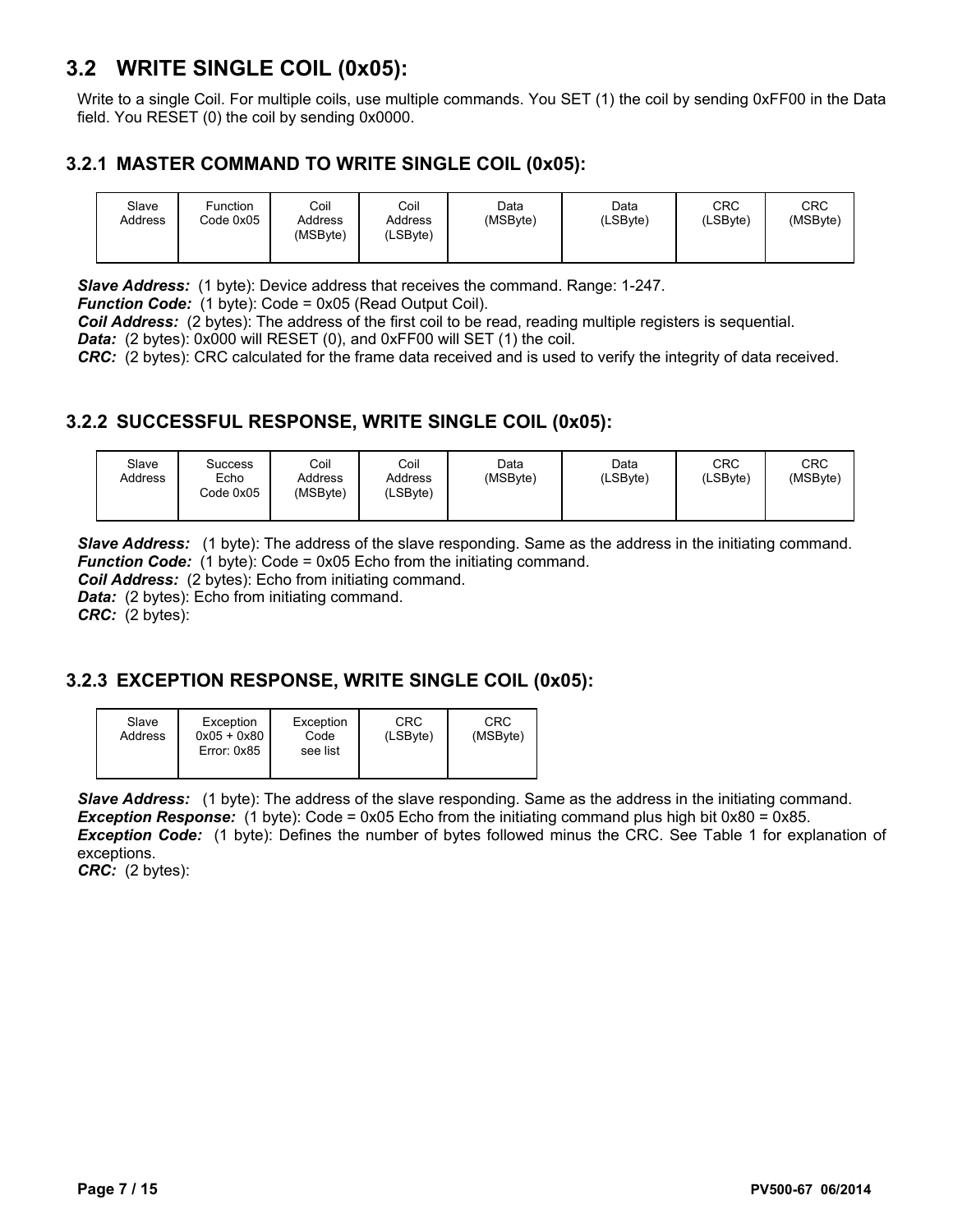## **3.2 WRITE SINGLE COIL (0x05):**

Write to a single Coil. For multiple coils, use multiple commands. You SET (1) the coil by sending 0xFF00 in the Data field. You RESET (0) the coil by sending 0x0000.

#### **3.2.1 MASTER COMMAND TO WRITE SINGLE COIL (0x05):**

| Slave<br>Address | Function<br>Code 0x05 | Coil<br>Address<br>(MSByte) | Coil<br>Address<br>(LSByte) | Data<br>(MSByte) | Data<br>(LSByte) | CRC<br>(LSByte) | CRC<br>(MSByte) |
|------------------|-----------------------|-----------------------------|-----------------------------|------------------|------------------|-----------------|-----------------|
|                  |                       |                             |                             |                  |                  |                 |                 |

*Slave Address:* (1 byte): Device address that receives the command. Range: 1-247.

*Function Code:* (1 byte): Code = 0x05 (Read Output Coil).

*Coil Address:* (2 bytes): The address of the first coil to be read, reading multiple registers is sequential.

*Data:* (2 bytes): 0x000 will RESET (0), and 0xFF00 will SET (1) the coil.

*CRC:* (2 bytes): CRC calculated for the frame data received and is used to verify the integrity of data received.

#### **3.2.2 SUCCESSFUL RESPONSE, WRITE SINGLE COIL (0x05):**

| Slave<br>Address | Success<br>Echo<br>Code 0x05 | Coil<br>Address<br>(MSByte) | Coil<br>Address<br>(LSByte) | Data<br>(MSByte) | Data<br>(LSByte) | <b>CRC</b><br>(LSByte) | CRC<br>(MSByte) |
|------------------|------------------------------|-----------------------------|-----------------------------|------------------|------------------|------------------------|-----------------|
|------------------|------------------------------|-----------------------------|-----------------------------|------------------|------------------|------------------------|-----------------|

*Slave Address:* (1 byte): The address of the slave responding. Same as the address in the initiating command. *Function Code:* (1 byte): Code = 0x05 Echo from the initiating command.

*Coil Address:* (2 bytes): Echo from initiating command.

*Data:* (2 bytes): Echo from initiating command.

*CRC:* (2 bytes):

#### **3.2.3 EXCEPTION RESPONSE, WRITE SINGLE COIL (0x05):**

|  | Slave<br>Address | Exception<br>$0x05 + 0x80$<br>Error: 0x85 | Exception<br>Code<br>see list | CRC<br>(LSByte) | CRC<br>(MSByte) |
|--|------------------|-------------------------------------------|-------------------------------|-----------------|-----------------|
|--|------------------|-------------------------------------------|-------------------------------|-----------------|-----------------|

**Slave Address:** (1 byte): The address of the slave responding. Same as the address in the initiating command. **Exception Response:** (1 byte): Code = 0x05 Echo from the initiating command plus high bit 0x80 = 0x85. *Exception Code:* (1 byte): Defines the number of bytes followed minus the CRC. See Table 1 for explanation of exceptions.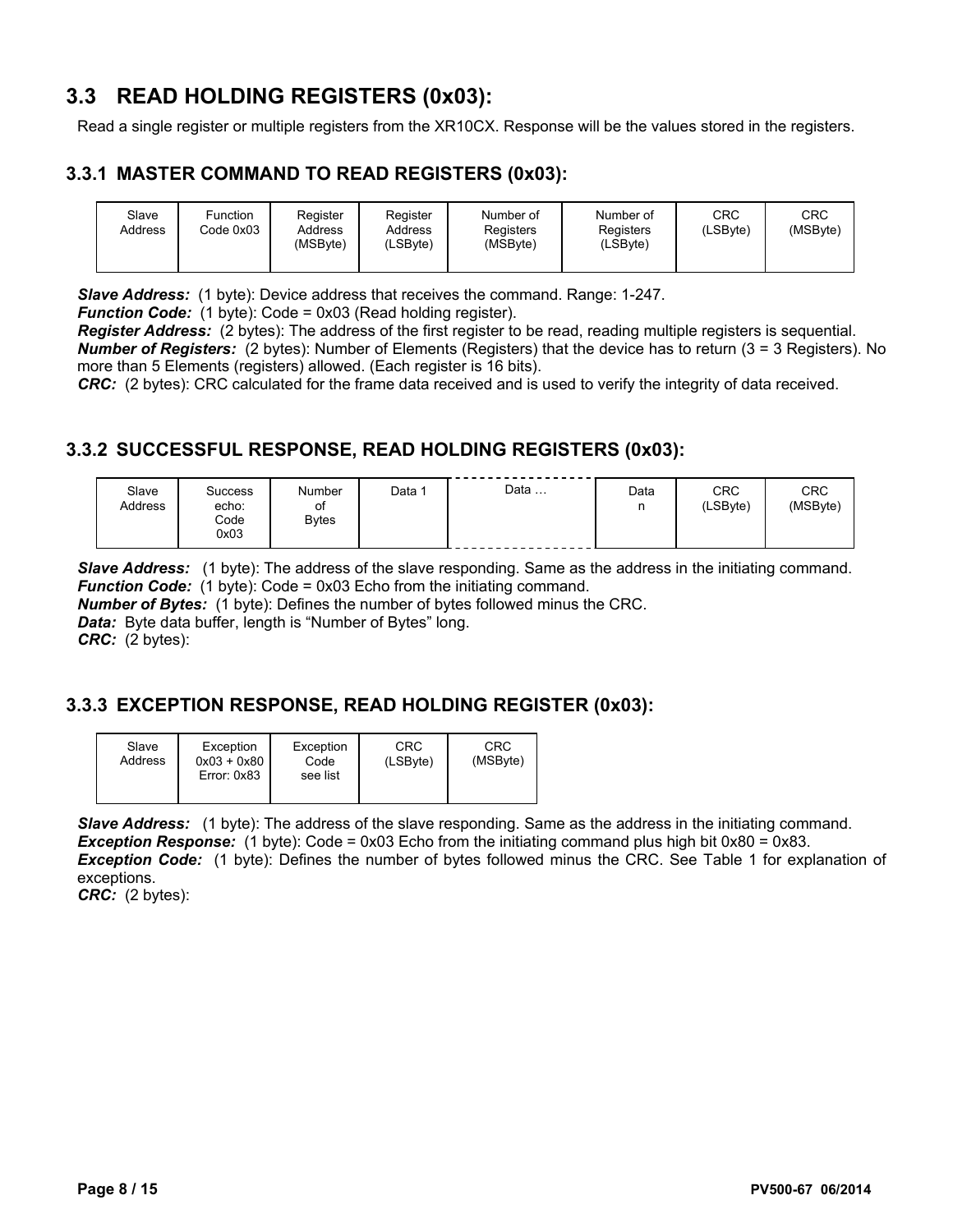## **3.3 READ HOLDING REGISTERS (0x03):**

Read a single register or multiple registers from the XR10CX. Response will be the values stored in the registers.

#### **3.3.1 MASTER COMMAND TO READ REGISTERS (0x03):**

| Slave<br>Address | Function<br>Code 0x03 | Register<br>Address<br>(MSByte) | Register<br>Address<br>(LSByte) | Number of<br>Registers<br>(MSByte) | Number of<br>Registers<br>(LSByte) | <b>CRC</b><br>(LSByte) | <b>CRC</b><br>(MSByte) |
|------------------|-----------------------|---------------------------------|---------------------------------|------------------------------------|------------------------------------|------------------------|------------------------|
|------------------|-----------------------|---------------------------------|---------------------------------|------------------------------------|------------------------------------|------------------------|------------------------|

*Slave Address:* (1 byte): Device address that receives the command. Range: 1-247.

*Function Code:* (1 byte): Code = 0x03 (Read holding register).

*Register Address:* (2 bytes): The address of the first register to be read, reading multiple registers is sequential. *Number of Registers:* (2 bytes): Number of Elements (Registers) that the device has to return (3 = 3 Registers). No more than 5 Elements (registers) allowed. (Each register is 16 bits).

*CRC:* (2 bytes): CRC calculated for the frame data received and is used to verify the integrity of data received.

### **3.3.2 SUCCESSFUL RESPONSE, READ HOLDING REGISTERS (0x03):**

| Slave<br>Address | Success<br>echo:<br>Code<br>0x03 | Number<br>οt<br><b>Bytes</b> | Data | Data | Data<br>n<br>ш | <b>CRC</b><br>(LSByte) | <b>CRC</b><br>(MSByte) |
|------------------|----------------------------------|------------------------------|------|------|----------------|------------------------|------------------------|
|------------------|----------------------------------|------------------------------|------|------|----------------|------------------------|------------------------|

*Slave Address:* (1 byte): The address of the slave responding. Same as the address in the initiating command. *Function Code:* (1 byte): Code = 0x03 Echo from the initiating command.

*Number of Bytes:* (1 byte): Defines the number of bytes followed minus the CRC.

**Data:** Byte data buffer, length is "Number of Bytes" long.

*CRC:* (2 bytes):

#### **3.3.3 EXCEPTION RESPONSE, READ HOLDING REGISTER (0x03):**

| Slave<br>Address | Exception<br>$0x03 + 0x80$<br>Error: 0x83 | Exception<br>Code<br>see list | CRC<br>(LSByte) | CRC<br>(MSByte) |
|------------------|-------------------------------------------|-------------------------------|-----------------|-----------------|
|                  |                                           |                               |                 |                 |

*Slave Address:* (1 byte): The address of the slave responding. Same as the address in the initiating command. **Exception Response:** (1 byte): Code = 0x03 Echo from the initiating command plus high bit 0x80 = 0x83. *Exception Code:* (1 byte): Defines the number of bytes followed minus the CRC. See Table 1 for explanation of exceptions.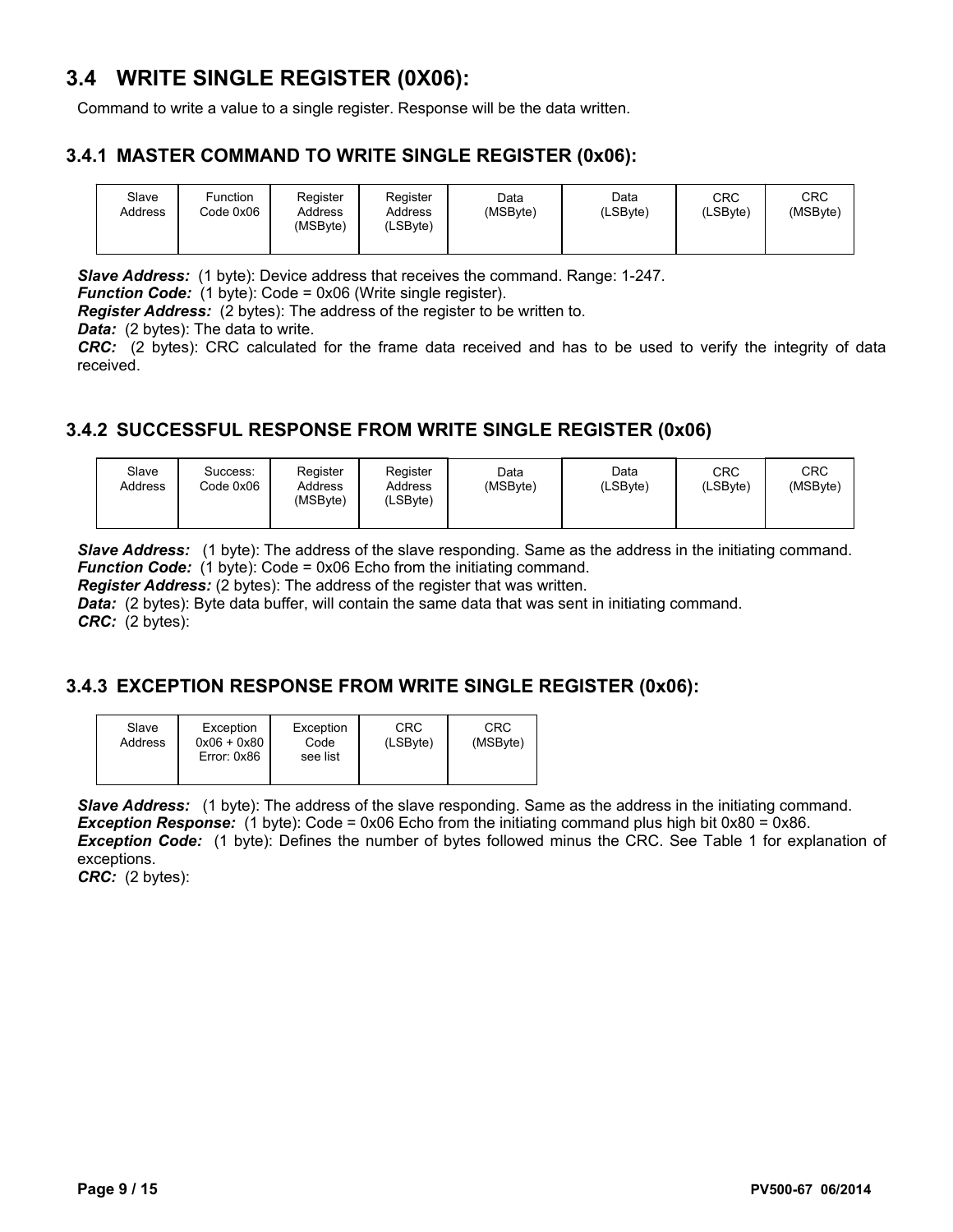## **3.4 WRITE SINGLE REGISTER (0X06):**

Command to write a value to a single register. Response will be the data written.

#### **3.4.1 MASTER COMMAND TO WRITE SINGLE REGISTER (0x06):**

| Slave<br>Address | Function<br>Code 0x06 | Register<br>Address<br>(MSByte) | Register<br>Address<br>(LSByte) | Data<br>(MSByte) | Data<br>(LSByte) | CRC<br>(LSByte) | CRC<br>(MSByte) |
|------------------|-----------------------|---------------------------------|---------------------------------|------------------|------------------|-----------------|-----------------|
|                  |                       |                                 |                                 |                  |                  |                 |                 |

*Slave Address:* (1 byte): Device address that receives the command. Range: 1-247.

*Function Code:* (1 byte): Code = 0x06 (Write single register).

*Register Address:* (2 bytes): The address of the register to be written to.

*Data:* (2 bytes): The data to write.

*CRC:* (2 bytes): CRC calculated for the frame data received and has to be used to verify the integrity of data received.

### **3.4.2 SUCCESSFUL RESPONSE FROM WRITE SINGLE REGISTER (0x06)**

| Slave<br>Address | Success:<br>Code 0x06 | Register<br>Address<br>(MSByte) | Register<br>Address<br>(LSByte) | Data<br>(MSByte) | Data<br>(LSByte) | CRC<br>(LSByte) | CRC<br>(MSByte) |
|------------------|-----------------------|---------------------------------|---------------------------------|------------------|------------------|-----------------|-----------------|
|------------------|-----------------------|---------------------------------|---------------------------------|------------------|------------------|-----------------|-----------------|

*Slave Address:* (1 byte): The address of the slave responding. Same as the address in the initiating command. *Function Code:* (1 byte): Code = 0x06 Echo from the initiating command.

*Register Address:* (2 bytes): The address of the register that was written.

*Data: (2 bytes): Byte data buffer, will contain the same data that was sent in initiating command. CRC:* (2 bytes):

#### **3.4.3 EXCEPTION RESPONSE FROM WRITE SINGLE REGISTER (0x06):**

| Slave<br>Address | Exception<br>$0x06 + 0x80$<br>Error: 0x86 | Exception<br>Code<br>see list | CRC<br>(LSByte) | CRC<br>(MSByte) |
|------------------|-------------------------------------------|-------------------------------|-----------------|-----------------|
|                  |                                           |                               |                 |                 |

*Slave Address:* (1 byte): The address of the slave responding. Same as the address in the initiating command. **Exception Response:** (1 byte): Code = 0x06 Echo from the initiating command plus high bit 0x80 = 0x86. *Exception Code:* (1 byte): Defines the number of bytes followed minus the CRC. See Table 1 for explanation of exceptions.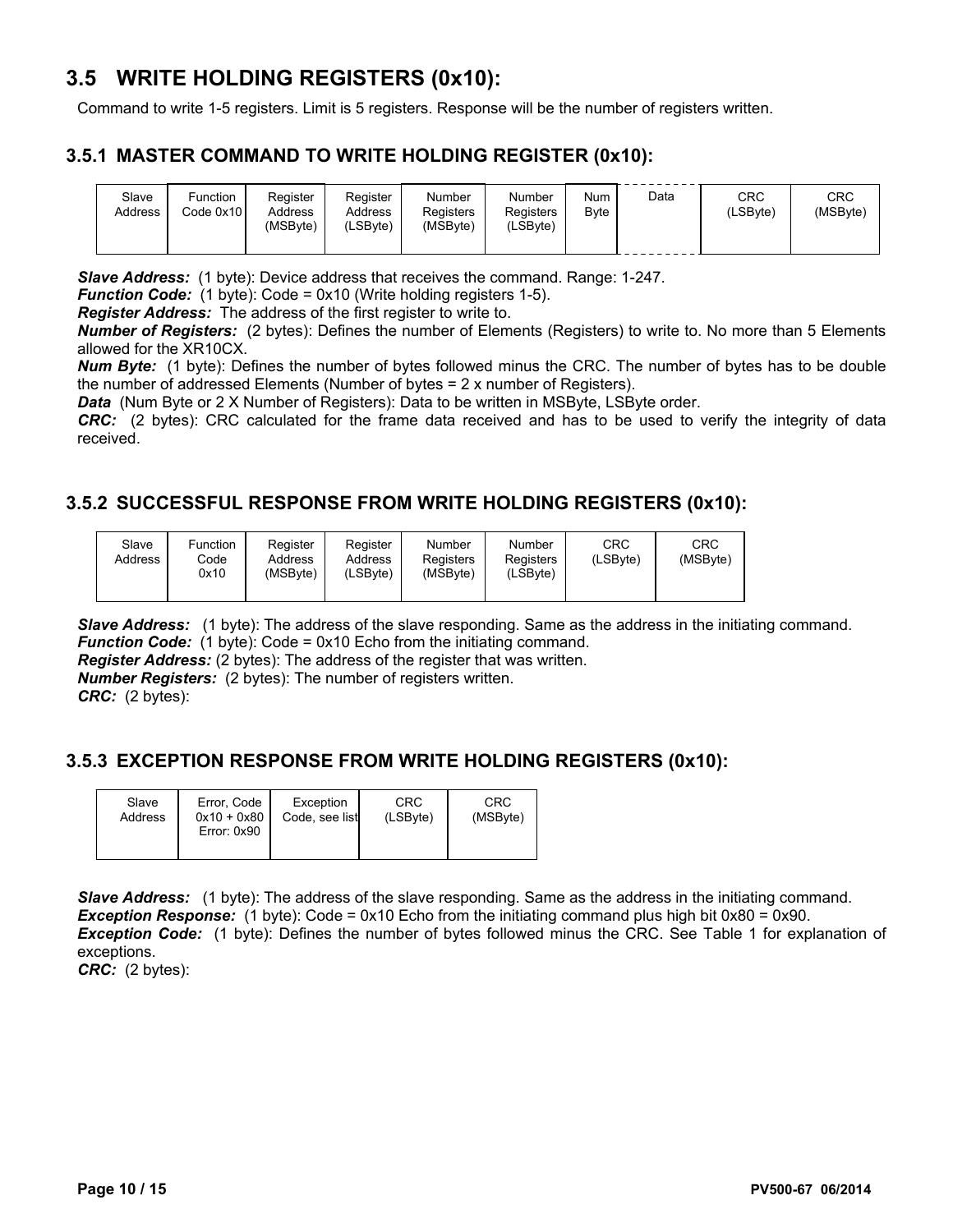## **3.5 WRITE HOLDING REGISTERS (0x10):**

Command to write 1-5 registers. Limit is 5 registers. Response will be the number of registers written.

#### **3.5.1 MASTER COMMAND TO WRITE HOLDING REGISTER (0x10):**

| Slave<br>Address | Function<br>Code 0x10 | Register<br>Address<br>(MSBvte) | Register<br>Address<br>(LSByte) | Number<br>Registers<br>(MSByte) | Number<br>Registers<br>(LSByte) | Num<br>Byte | Data | CRC<br>LSBvte) | CRC<br>(MSByte) |
|------------------|-----------------------|---------------------------------|---------------------------------|---------------------------------|---------------------------------|-------------|------|----------------|-----------------|
|                  |                       |                                 |                                 |                                 |                                 |             |      |                |                 |

*Slave Address:* (1 byte): Device address that receives the command. Range: 1-247.

*Function Code:* (1 byte): Code = 0x10 (Write holding registers 1-5).

*Register Address:* The address of the first register to write to.

*Number of Registers:* (2 bytes): Defines the number of Elements (Registers) to write to. No more than 5 Elements allowed for the XR10CX.

*Num Byte:* (1 byte): Defines the number of bytes followed minus the CRC. The number of bytes has to be double the number of addressed Elements (Number of bytes = 2 x number of Registers).

*Data* (Num Byte or 2 X Number of Registers): Data to be written in MSByte, LSByte order.

*CRC:* (2 bytes): CRC calculated for the frame data received and has to be used to verify the integrity of data received.

#### **3.5.2 SUCCESSFUL RESPONSE FROM WRITE HOLDING REGISTERS (0x10):**

| Slave<br>Address | Function<br>Code<br>0x10 | Register<br>Address<br>(MSByte) | Register<br>Address<br>(LSByte) | Number<br>Registers<br>(MSByte) | Number<br>Registers<br>(LSByte) | CRC<br>(LSByte) | CRC<br>(MSByte) |
|------------------|--------------------------|---------------------------------|---------------------------------|---------------------------------|---------------------------------|-----------------|-----------------|
|------------------|--------------------------|---------------------------------|---------------------------------|---------------------------------|---------------------------------|-----------------|-----------------|

**Slave Address:** (1 byte): The address of the slave responding. Same as the address in the initiating command. *Function Code:* (1 byte): Code = 0x10 Echo from the initiating command.

*Register Address:* (2 bytes): The address of the register that was written.

*Number Registers:* (2 bytes): The number of registers written.

*CRC:* (2 bytes):

#### **3.5.3 EXCEPTION RESPONSE FROM WRITE HOLDING REGISTERS (0x10):**

| Slave<br>Address | Error, Code<br>$0x10 + 0x80$<br>Error: 0x90 | Exception<br>Code, see list | CRC<br>(LSByte) | CRC<br>(MSByte) |
|------------------|---------------------------------------------|-----------------------------|-----------------|-----------------|
|                  |                                             |                             |                 |                 |

**Slave Address:** (1 byte): The address of the slave responding. Same as the address in the initiating command. **Exception Response:** (1 byte): Code = 0x10 Echo from the initiating command plus high bit 0x80 = 0x90. *Exception Code:* (1 byte): Defines the number of bytes followed minus the CRC. See Table 1 for explanation of exceptions.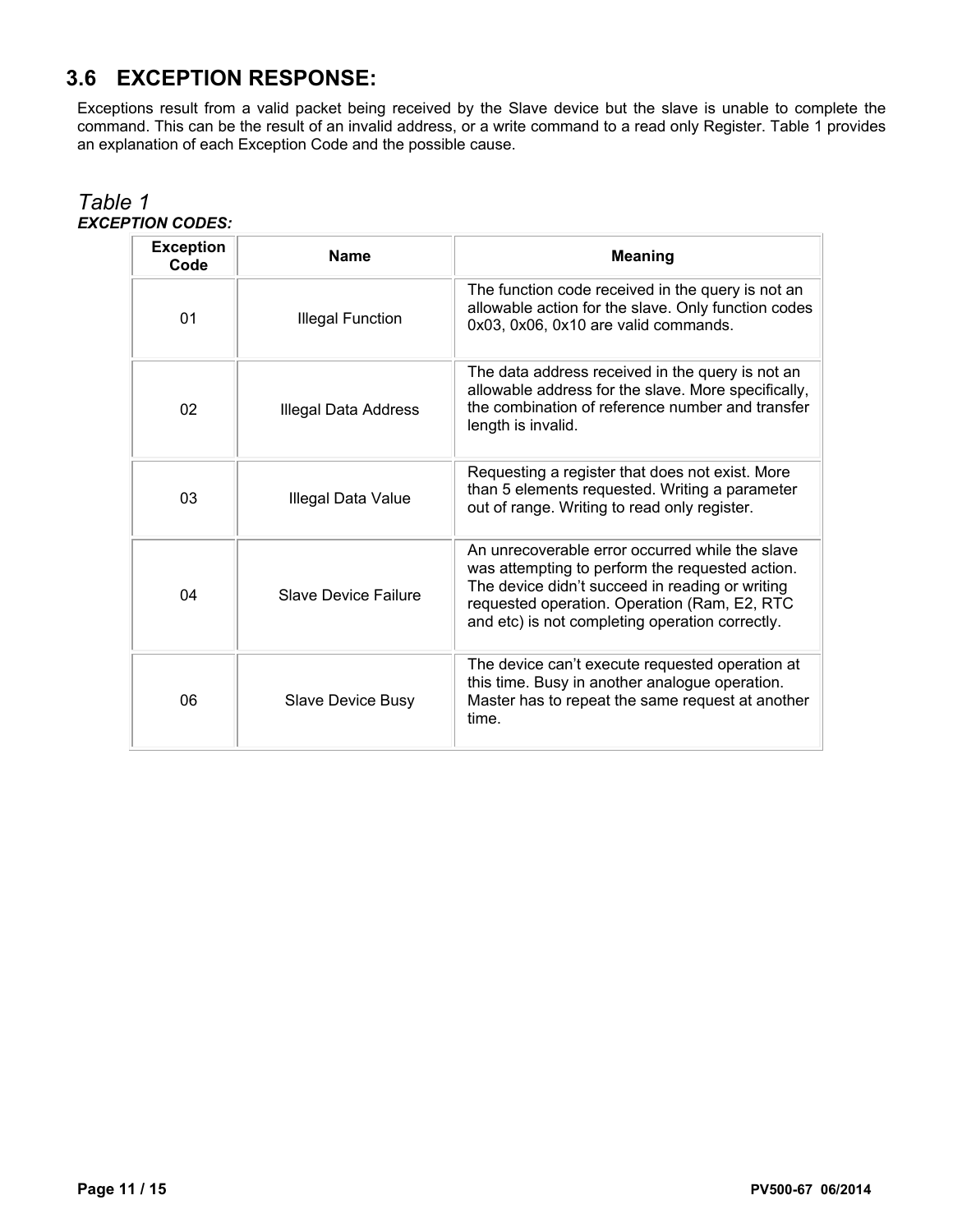# **3.6 EXCEPTION RESPONSE:**

Exceptions result from a valid packet being received by the Slave device but the slave is unable to complete the command. This can be the result of an invalid address, or a write command to a read only Register. Table 1 provides an explanation of each Exception Code and the possible cause.

| <b>Exception</b><br>Code | <b>Name</b>                 | <b>Meaning</b>                                                                                                                                                                                                                                           |  |  |  |
|--------------------------|-----------------------------|----------------------------------------------------------------------------------------------------------------------------------------------------------------------------------------------------------------------------------------------------------|--|--|--|
| 01                       | <b>Illegal Function</b>     | The function code received in the query is not an<br>allowable action for the slave. Only function codes<br>0x03, 0x06, 0x10 are valid commands.                                                                                                         |  |  |  |
| 02                       | Illegal Data Address        | The data address received in the query is not an<br>allowable address for the slave. More specifically,<br>the combination of reference number and transfer<br>length is invalid.                                                                        |  |  |  |
| 03                       | Illegal Data Value          | Requesting a register that does not exist. More<br>than 5 elements requested. Writing a parameter<br>out of range. Writing to read only register.                                                                                                        |  |  |  |
| 04                       | <b>Slave Device Failure</b> | An unrecoverable error occurred while the slave<br>was attempting to perform the requested action.<br>The device didn't succeed in reading or writing<br>requested operation. Operation (Ram, E2, RTC<br>and etc) is not completing operation correctly. |  |  |  |
| 06                       | <b>Slave Device Busy</b>    | The device can't execute requested operation at<br>this time. Busy in another analogue operation.<br>Master has to repeat the same request at another<br>time.                                                                                           |  |  |  |

#### *Table 1 EXCEPTION CODES:*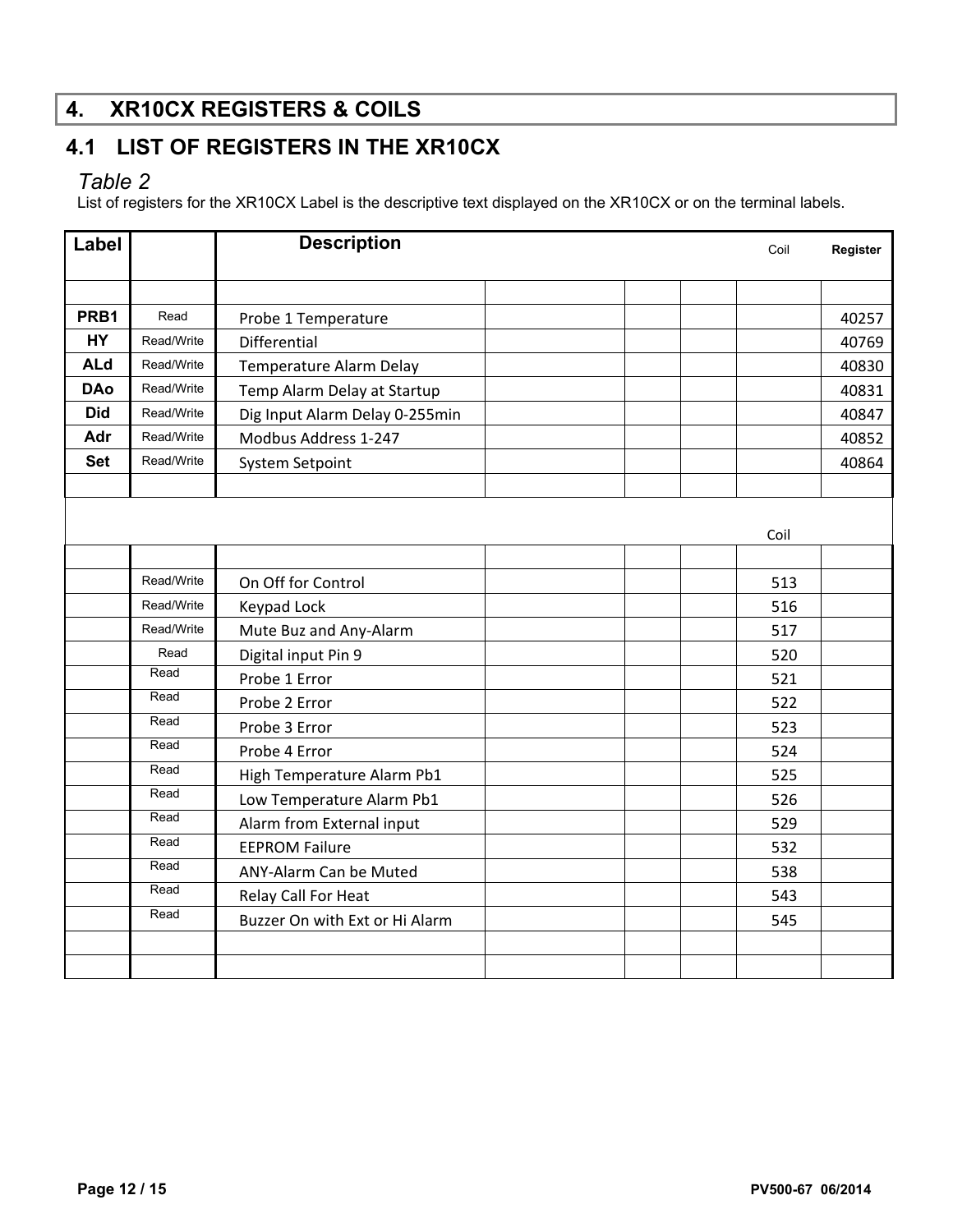# **4. XR10CX REGISTERS & COILS**

# **4.1 LIST OF REGISTERS IN THE XR10CX**

### *Table 2*

List of registers for the XR10CX Label is the descriptive text displayed on the XR10CX or on the terminal labels.

| Label      |            | <b>Description</b>             | Coil | Register |       |
|------------|------------|--------------------------------|------|----------|-------|
|            |            |                                |      |          |       |
| PRB1       | Read       | Probe 1 Temperature            |      |          | 40257 |
| <b>HY</b>  | Read/Write | Differential                   |      |          | 40769 |
| <b>ALd</b> | Read/Write | Temperature Alarm Delay        |      |          | 40830 |
| <b>DAo</b> | Read/Write | Temp Alarm Delay at Startup    |      |          | 40831 |
| <b>Did</b> | Read/Write | Dig Input Alarm Delay 0-255min |      |          | 40847 |
| Adr        | Read/Write | Modbus Address 1-247           |      |          | 40852 |
| <b>Set</b> | Read/Write | <b>System Setpoint</b>         |      |          | 40864 |
|            |            |                                |      |          |       |
|            |            |                                |      |          |       |
|            |            |                                |      | Coil     |       |
|            |            |                                |      |          |       |
|            | Read/Write | On Off for Control             |      | 513      |       |
|            | Read/Write | <b>Keypad Lock</b>             |      | 516      |       |
|            | Read/Write | Mute Buz and Any-Alarm         |      | 517      |       |
|            | Read       | Digital input Pin 9            |      | 520      |       |
|            | Read       | Probe 1 Error                  |      | 521      |       |
|            | Read       | Probe 2 Error                  |      | 522      |       |
|            | Read       | Probe 3 Error                  |      | 523      |       |
|            | Read       | Probe 4 Error                  |      | 524      |       |
|            | Read       | High Temperature Alarm Pb1     |      | 525      |       |
|            | Read       | Low Temperature Alarm Pb1      |      | 526      |       |
|            | Read       | Alarm from External input      |      | 529      |       |
|            | Read       | <b>EEPROM Failure</b>          |      | 532      |       |
|            | Read       | ANY-Alarm Can be Muted         |      | 538      |       |
|            | Read       | Relay Call For Heat            |      | 543      |       |
|            | Read       | Buzzer On with Ext or Hi Alarm |      | 545      |       |
|            |            |                                |      |          |       |
|            |            |                                |      |          |       |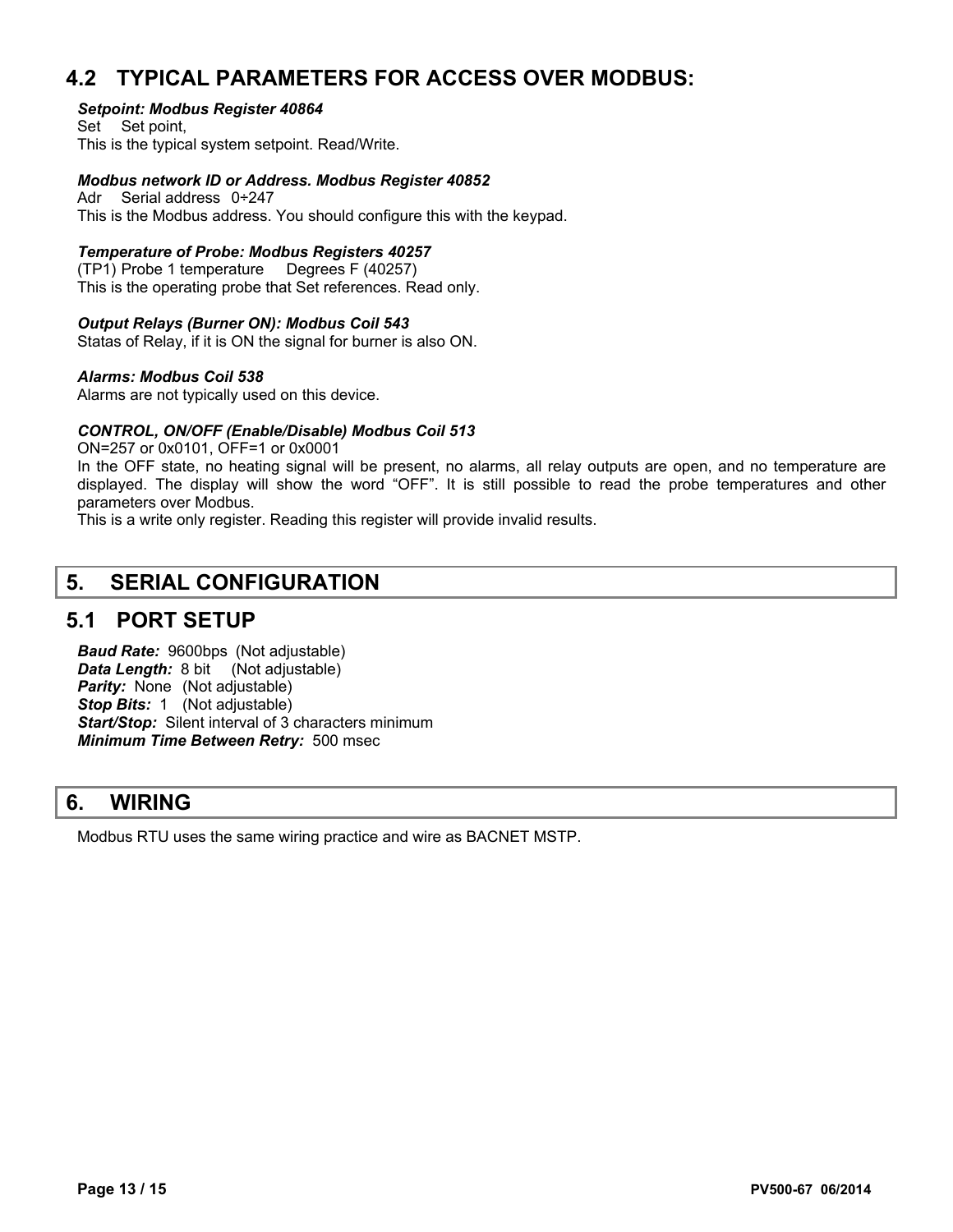## **4.2 TYPICAL PARAMETERS FOR ACCESS OVER MODBUS:**

#### *Setpoint: Modbus Register 40864*

Set Set point, This is the typical system setpoint. Read/Write.

#### *Modbus network ID or Address. Modbus Register 40852*

Adr Serial address 0÷247 This is the Modbus address. You should configure this with the keypad.

#### *Temperature of Probe: Modbus Registers 40257*

(TP1) Probe 1 temperature Degrees F (40257) This is the operating probe that Set references. Read only.

#### *Output Relays (Burner ON): Modbus Coil 543*

Statas of Relay, if it is ON the signal for burner is also ON.

#### *Alarms: Modbus Coil 538*

Alarms are not typically used on this device.

#### *CONTROL, ON/OFF (Enable/Disable) Modbus Coil 513*

ON=257 or 0x0101, OFF=1 or 0x0001

In the OFF state, no heating signal will be present, no alarms, all relay outputs are open, and no temperature are displayed. The display will show the word "OFF". It is still possible to read the probe temperatures and other parameters over Modbus.

This is a write only register. Reading this register will provide invalid results.

### **5. SERIAL CONFIGURATION**

### **5.1 PORT SETUP**

*Baud Rate:* 9600bps (Not adjustable) *Data Length: 8 bit* (Not adjustable) **Parity:** None (Not adjustable) *Stop Bits:* 1 (Not adjustable) *Start/Stop:* Silent interval of 3 characters minimum *Minimum Time Between Retry:* 500 msec

## **6. WIRING**

Modbus RTU uses the same wiring practice and wire as BACNET MSTP.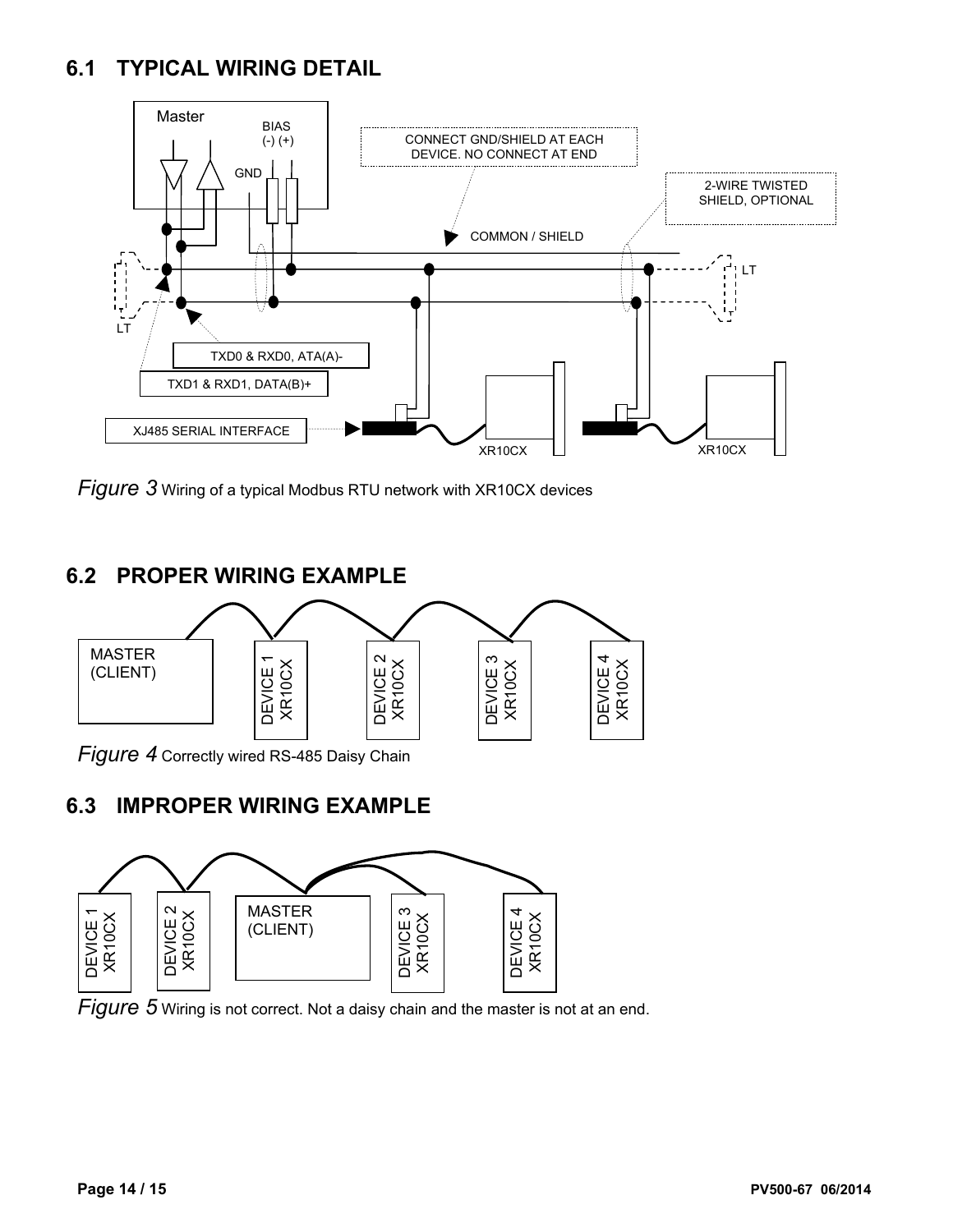## **6.1 TYPICAL WIRING DETAIL**



*Figure 3* Wiring of a typical Modbus RTU network with XR10CX devices

## **6.2 PROPER WIRING EXAMPLE**



*Figure 4* Correctly wired RS-485 Daisy Chain

## **6.3 IMPROPER WIRING EXAMPLE**



*Figure 5* Wiring is not correct. Not a daisy chain and the master is not at an end.